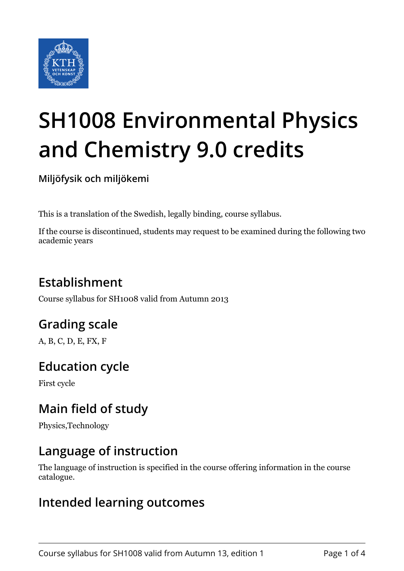

# **SH1008 Environmental Physics and Chemistry 9.0 credits**

**Miljöfysik och miljökemi**

This is a translation of the Swedish, legally binding, course syllabus.

If the course is discontinued, students may request to be examined during the following two academic years

## **Establishment**

Course syllabus for SH1008 valid from Autumn 2013

## **Grading scale**

A, B, C, D, E, FX, F

## **Education cycle**

First cycle

## **Main field of study**

Physics,Technology

## **Language of instruction**

The language of instruction is specified in the course offering information in the course catalogue.

### **Intended learning outcomes**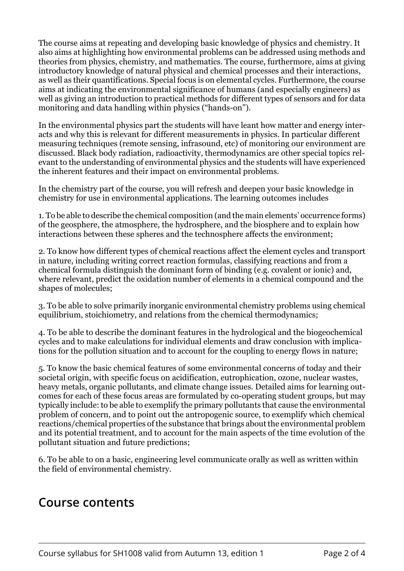The course aims at repeating and developing basic knowledge of physics and chemistry. It also aims at highlighting how environmental problems can be addressed using methods and theories from physics, chemistry, and mathematics. The course, furthermore, aims at giving introductory knowledge of natural physical and chemical processes and their interactions, as well as their quantifications. Special focus is on elemental cycles. Furthermore, the course aims at indicating the environmental significance of humans (and especially engineers) as well as giving an introduction to practical methods for different types of sensors and for data monitoring and data handling within physics ("hands-on").

In the environmental physics part the students will have leant how matter and energy interacts and why this is relevant for different measurements in physics. In particular different measuring techniques (remote sensing, infrasound, etc) of monitoring our environment are discussed. Black body radiation, radioactivity, thermodynamics are other special topics relevant to the understanding of environmental physics and the students will have experienced the inherent features and their impact on environmental problems.

In the chemistry part of the course, you will refresh and deepen your basic knowledge in chemistry for use in environmental applications. The learning outcomes includes

1. To be able to describe the chemical composition (and the main elements' occurrence forms) of the geosphere, the atmosphere, the hydrosphere, and the biosphere and to explain how interactions between these spheres and the technosphere affects the environment;

2. To know how different types of chemical reactions affect the element cycles and transport in nature, including writing correct reaction formulas, classifying reactions and from a chemical formula distinguish the dominant form of binding (e.g. covalent or ionic) and, where relevant, predict the oxidation number of elements in a chemical compound and the shapes of molecules;

3. To be able to solve primarily inorganic environmental chemistry problems using chemical equilibrium, stoichiometry, and relations from the chemical thermodynamics;

4. To be able to describe the dominant features in the hydrological and the biogeochemical cycles and to make calculations for individual elements and draw conclusion with implications for the pollution situation and to account for the coupling to energy flows in nature;

5. To know the basic chemical features of some environmental concerns of today and their societal origin, with specific focus on acidification, eutrophication, ozone, nuclear wastes, heavy metals, organic pollutants, and climate change issues. Detailed aims for learning outcomes for each of these focus areas are formulated by co-operating student groups, but may typically include: to be able to exemplify the primary pollutants that cause the environmental problem of concern, and to point out the antropogenic source, to exemplify which chemical reactions/chemical properties of the substance that brings about the environmental problem and its potential treatment, and to account for the main aspects of the time evolution of the pollutant situation and future predictions;

6. To be able to on a basic, engineering level communicate orally as well as written within the field of environmental chemistry.

#### **Course contents**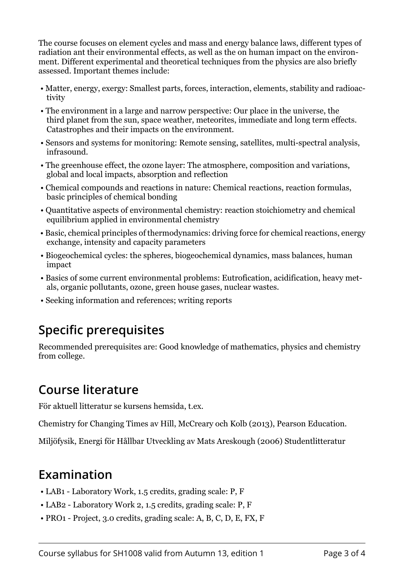The course focuses on element cycles and mass and energy balance laws, different types of radiation ant their environmental effects, as well as the on human impact on the environment. Different experimental and theoretical techniques from the physics are also briefly assessed. Important themes include:

- Matter, energy, exergy: Smallest parts, forces, interaction, elements, stability and radioactivity
- The environment in a large and narrow perspective: Our place in the universe, the third planet from the sun, space weather, meteorites, immediate and long term effects. Catastrophes and their impacts on the environment.
- Sensors and systems for monitoring: Remote sensing, satellites, multi-spectral analysis, infrasound.
- The greenhouse effect, the ozone layer: The atmosphere, composition and variations, global and local impacts, absorption and reflection
- Chemical compounds and reactions in nature: Chemical reactions, reaction formulas, basic principles of chemical bonding
- Quantitative aspects of environmental chemistry: reaction stoichiometry and chemical equilibrium applied in environmental chemistry
- Basic, chemical principles of thermodynamics: driving force for chemical reactions, energy exchange, intensity and capacity parameters
- Biogeochemical cycles: the spheres, biogeochemical dynamics, mass balances, human impact
- Basics of some current environmental problems: Eutrofication, acidification, heavy metals, organic pollutants, ozone, green house gases, nuclear wastes.
- Seeking information and references; writing reports

## **Specific prerequisites**

Recommended prerequisites are: Good knowledge of mathematics, physics and chemistry from college.

## **Course literature**

För aktuell litteratur se kursens hemsida, t.ex.

Chemistry for Changing Times av Hill, McCreary och Kolb (2013), Pearson Education.

Miljöfysik, Energi för Hållbar Utveckling av Mats Areskough (2006) Studentlitteratur

## **Examination**

- LAB1 Laboratory Work, 1.5 credits, grading scale: P, F
- LAB2 Laboratory Work 2, 1.5 credits, grading scale: P, F
- PRO1 Project, 3.0 credits, grading scale: A, B, C, D, E, FX, F